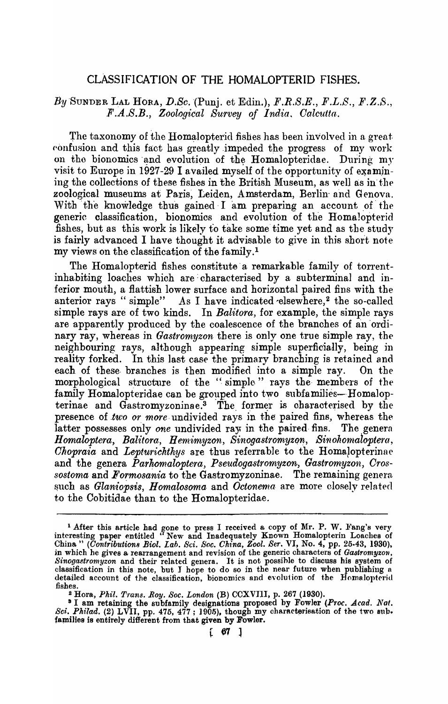## CLAssIFICATION OF THE HOMALOPTERID FISHES.

## $By$  SUNDER LAL HORA, D.Sc. (Punj. et Edin.),  $F.R.S.E., F.L.S., F.Z.S.,$ *F.A.S.B., Zoological Survey of India, Calcutta.*

The taxonomy of the Homalopterid fishes has been involved in a great confusion and this fact has greatly impeded the progress of my work on the bionomics and evolution of the Homalopteridae. During my visit to Europe in 1927-29 I availed myself of the opportunity of examining the collections of these fishes in the British Museum, as well as in the zoological museums at Paris, Leiden, Amsterdam, Berlin and Genova. With the knowledge thus gained I am preparing an account of the generic classification, bionomics and evolution of the Homalopterid fishes, but as this work is likely to take some time yet and as the study is fairly advanced I have thought it advisable to give in this short note my views on the classification of the family. 1

The Homalopterid fishes constitute a remarkable family of torrentinhabiting loaches which are: characterised by a subterminal and inferior mouth) a flattish lower surface and horizontal paired fins with the anterior rays " simple" As I have indicated elsewhere,<sup>2</sup> the so-called simple rays are of two kinds. In *Balitora*, for example, the simple rays are apparently produced by the coalescence of the branches of an ordinary ray, whereas in *Gastromyzon* there is only one true simple ray, the neighbouring rays, although appearing simple superficially, being in reality forked. In this last case the primary branching is retained and each of these branches is then modified into a simple ray. On the morphological structure of the "simple" rays the members of the family Homalopteridae can be grouped into two subfamilies-Homalopterinae and  $\tilde{G}_{astromyzoninae}$ . The former is characterised by the presence of *two or more* undivided rays in the paired fins, whereas the latter possesses only *one* undivided ray in the paired fins. The general *Homaloptera, Balitora, Hemimyzon, Sinogastromyzon, Sinohomaloptera, Chopraia* and *Lepturichthys* are thus referrable to the Homalopterinae and the genera Parhomaloptera, Pseudogastromyzon, Gastromyzon, Cros*sosioma* and *Formosania* to the Gastromyzoninae. The remaining genera. such as Glaniopsis, *Homalosoma* and *Octonema* are more closely related to the Cobitiaae than to the Homalopteridae.

<sup>&</sup>lt;sup>1</sup> After this article had gone to press I received a copy of Mr. P. W. Fang's very interesting paper entitled "New and Inadequately Known Homalopterin Loaches of China" *(Contributions Biol. Lab. Sci. Soc. China, Zool. Ser. VI, No.* 4, pp. 25-43, 1930), in which he gives a rearrangement and revision of the generic characters of *Gastromyzon*, Sinogastromyzon and their related genera. It is not possible to discuss his system of classification in this note, but I hope to do so in the near future when publishing a detailed account of the classification, bionomics and evolution of the Homalopterid fishes.

<sup>2</sup>Hora, *Phil. T'rans. Roy. Soc. London* (B) CCXVIII, p. 267 (1930).

<sup>&</sup>lt;sup>3</sup> I am retaining the subfamily designations proposed by Fowler *(Proc. Acad. Nat. Sci. Philad.* (2) LVII, pp. 475, 477; 1905), though my characterisation of the two sub. families is entirely different from that given by Fowler.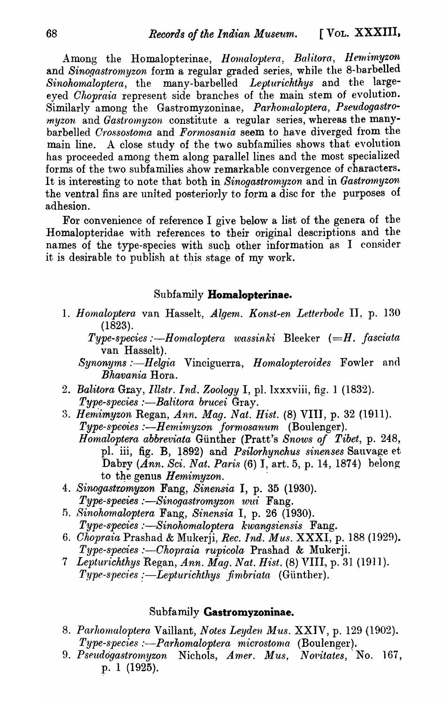Among the Homalopterinae, *Homaloptera, Balitora, Hemimyzon* and *Sinogastromyzon* form a regular graded series, while the 8-barbelled *Sinohornaloptera,* the many-barbelled *Lepturichthys* and the largeeyed *Chopraia* represent side branches of the main stem of evolution. Similarly among the Gastromyzoninae, Parhomaloptera, Pseudogastro*myzon* and *Gastromyzon* constitute a regular series, whereas the manybarbelled *Crossostoma* and *Formosania* seem to have diverged from the main line. A close study of the two subfamilies shows that evolution has proceeded among them along parallel lines and the most specialized forms of the two subfamilies show remarkable convergence of characters. It is interesting to note that both in *Sinogastromyzon* and in *Gastromyzon* the ventral fins are united posteriorly to form a disc for the purposes of adhesion.

For convenience of reference I give below a list of the genera of the Homalopteridae with references to their original descriptions and the names of the type-species with such other information as I consider it is desirable to publish at this stage of my work.

## Subfamily **Homalopterinae.**

- 1. *Ho,naloptera* van Hasselt, *Algem. Konst-en Letterbode* II, p. 130 (1823).
	- *Type-species :—Homaloptera wassinki Bleeker (=H. fasciata* van Hasselt).
	- *Synonyms :—Helgia* Vinciguerra, *Homalopteroides* Fowler and *Bhavania* Hora.
- 2. Balitora Gray, *Illstr. Ind. Zoology* I, pl. lxxxviii, fig. 1 (1832). *Type-species :—Balitora brucei Gray.*
- :3. *Hernimyzon* Regan, *Ann. Mag. Nat. Hist.* (8) VIII, p. 32 (1911). *Type-species* :-H *erni'inyzo·n .formosanum* (Boulenger). *Homaloptera abbreviata* Günther (Pratt's *Snows of Tibet, p. 248,* pI. iii, fig. B, l892) and *Psilorhynchus sinenses* Sauvage et Dabry *(Ann. Sci. Nat. Paris* (6) I, art. 5, p. 14, 1874) belong to the genus *Hemimyzon*.
- *4. Sinogastromyzon* Fang, *Sinensia* I, p. 35 (1930). *Type-speeies :-Sinogastromyzon wui* Fang.
- 5. Sinohomaloptera Fang, Sinensia I, p. 26 (1930). *Type-species :-Sinohomaloptera kwangsiensis* Fang.
- *6. Chopraia* Prashad & Mukerji, *Rec. Ind. Mus.* XXXI, p. 188 (1929). *Type-species :-Ohopraia rupicola* Prashad & Mukerji.
- 7 *Lepturichthys Regan, Ann. Mag. Nat. Hist.* (8) VIII, p. 31 (1911). *Type-species :—Lepturichthys fimbriata* (Günther).

## Subfamily **Gastromyzoninae.**

- 8. Parhomaloptera Vaillant, *Notes Leyden Mus.* XXIV, p. 129 (1902). *Type-species :--Parhomaloptera microstoma* (Boulenger).
- 9. Pseudogastromyzon Nichols, *Amer. Mus. Novitates*, No. 167, p. 1 (1925).